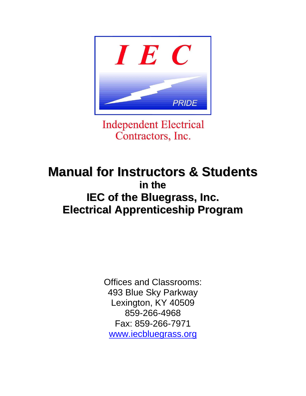

**Independent Electrical** Contractors, Inc.

### **Manual for Instructors & Students in the IEC of the Bluegrass, Inc. Electrical Apprenticeship Program**

Offices and Classrooms: 493 Blue Sky Parkway Lexington, KY 40509 859-266-4968 Fax: 859-266-7971 [www.iecbluegrass.org](http://www.iecbluegrass.org/)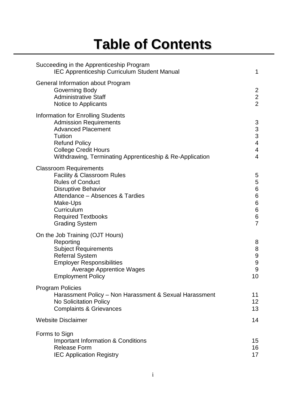# **Table of Contents**

| Succeeding in the Apprenticeship Program<br><b>IEC Apprenticeship Curriculum Student Manual</b>                                                                                                                                                    | 1                                                                                       |
|----------------------------------------------------------------------------------------------------------------------------------------------------------------------------------------------------------------------------------------------------|-----------------------------------------------------------------------------------------|
| General Information about Program<br>Governing Body<br><b>Administrative Staff</b><br>Notice to Applicants                                                                                                                                         | $\overline{c}$<br>$\frac{2}{2}$                                                         |
| <b>Information for Enrolling Students</b><br><b>Admission Requirements</b><br><b>Advanced Placement</b><br>Tuition<br><b>Refund Policy</b><br><b>College Credit Hours</b><br>Withdrawing, Terminating Apprenticeship & Re-Application              | 3<br>$\mathfrak{S}$<br>$\overline{3}$<br>$\overline{\mathbf{4}}$<br>4<br>$\overline{4}$ |
| <b>Classroom Requirements</b><br><b>Facility &amp; Classroom Rules</b><br><b>Rules of Conduct</b><br><b>Disruptive Behavior</b><br>Attendance - Absences & Tardies<br>Make-Ups<br>Curriculum<br><b>Required Textbooks</b><br><b>Grading System</b> | 5<br>5<br>$\,6$<br>$\,6$<br>$\,6$<br>$\,6$<br>6<br>$\overline{7}$                       |
| On the Job Training (OJT Hours)<br>Reporting<br><b>Subject Requirements</b><br><b>Referral System</b><br><b>Employer Responsibilities</b><br><b>Average Apprentice Wages</b><br><b>Employment Policy</b>                                           | 8<br>8<br>$\boldsymbol{9}$<br>$\boldsymbol{9}$<br>9<br>10                               |
| <b>Program Policies</b><br>Harassment Policy - Non Harassment & Sexual Harassment<br><b>No Solicitation Policy</b><br><b>Complaints &amp; Grievances</b>                                                                                           | 11<br>12<br>13                                                                          |
| <b>Website Disclaimer</b>                                                                                                                                                                                                                          | 14                                                                                      |
| Forms to Sign<br><b>Important Information &amp; Conditions</b><br><b>Release Form</b><br><b>IEC Application Registry</b>                                                                                                                           | 15<br>16<br>17                                                                          |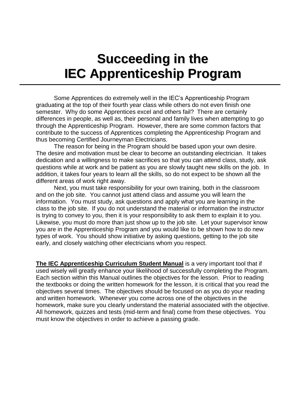### **Succeeding in the IEC Apprenticeship Program**

Some Apprentices do extremely well in the IEC's Apprenticeship Program graduating at the top of their fourth year class while others do not even finish one semester. Why do some Apprentices excel and others fail? There are certainly differences in people, as well as, their personal and family lives when attempting to go through the Apprenticeship Program. However, there are some common factors that contribute to the success of Apprentices completing the Apprenticeship Program and thus becoming Certified Journeyman Electricians.

The reason for being in the Program should be based upon your own desire. The desire and motivation must be clear to become an outstanding electrician. It takes dedication and a willingness to make sacrifices so that you can attend class, study, ask questions while at work and be patient as you are slowly taught new skills on the job. In addition, it takes four years to learn all the skills, so do not expect to be shown all the different areas of work right away.

Next, you must take responsibility for your own training, both in the classroom and on the job site. You cannot just attend class and assume you will learn the information. You must study, ask questions and apply what you are learning in the class to the job site. If you do not understand the material or information the instructor is trying to convey to you, then it is your responsibility to ask them to explain it to you. Likewise, you must do more than just show up to the job site. Let your supervisor know you are in the Apprenticeship Program and you would like to be shown how to do new types of work. You should show initiative by asking questions, getting to the job site early, and closely watching other electricians whom you respect.

**The IEC Apprenticeship Curriculum Student Manual** is a very important tool that if used wisely will greatly enhance your likelihood of successfully completing the Program. Each section within this Manual outlines the objectives for the lesson. Prior to reading the textbooks or doing the written homework for the lesson, it is critical that you read the objectives several times. The objectives should be focused on as you do your reading and written homework. Whenever you come across one of the objectives in the homework, make sure you clearly understand the material associated with the objective. All homework, quizzes and tests (mid-term and final) come from these objectives. You must know the objectives in order to achieve a passing grade.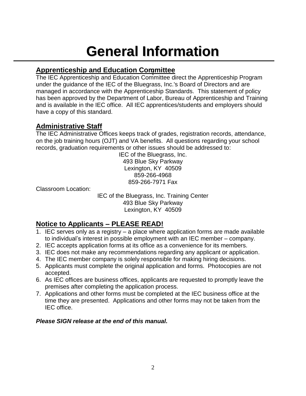### **General Information**

### **Apprenticeship and Education Committee** 1

The IEC Apprenticeship and Education Committee direct the Apprenticeship Program under the guidance of the IEC of the Bluegrass, Inc.'s Board of Directors and are managed in accordance with the Apprenticeship Standards. This statement of policy has been approved by the Department of Labor, Bureau of Apprenticeship and Training and is available in the IEC office. All IEC apprentices/students and employers should have a copy of this standard.

#### **Administrative Staff**

The IEC Administrative Offices keeps track of grades, registration records, attendance, on the job training hours (OJT) and VA benefits. All questions regarding your school records, graduation requirements or other issues should be addressed to:

IEC of the Bluegrass, Inc. 493 Blue Sky Parkway Lexington, KY 40509 859-266-4968 859-266-7971 Fax

Classroom Location:

IEC of the Bluegrass, Inc. Training Center 493 Blue Sky Parkway Lexington, KY 40509

#### **Notice to Applicants – PLEASE READ!**

- 1. IEC serves only as a registry a place where application forms are made available to individual's interest in possible employment with an IEC member – company.
- 2. IEC accepts application forms at its office as a convenience for its members.
- 3. IEC does not make any recommendations regarding any applicant or application.
- 4. The IEC member company is solely responsible for making hiring decisions.
- 5. Applicants must complete the original application and forms. Photocopies are not accepted.
- 6. As IEC offices are business offices, applicants are requested to promptly leave the premises after completing the application process.
- 7. Applications and other forms must be completed at the IEC business office at the time they are presented. Applications and other forms may not be taken from the IEC office.

#### *Please SIGN release at the end of this manual.*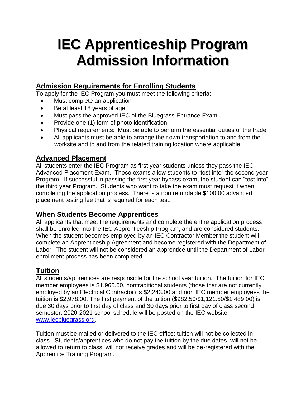### **IEC Apprenticeship Program Admission Information**

#### **Admission Requirements for Enrolling Students**

To apply for the IEC Program you must meet the following criteria:

- Must complete an application
- Be at least 18 years of age
- Must pass the approved IEC of the Bluegrass Entrance Exam
- Provide one (1) form of photo identification
- Physical requirements: Must be able to perform the essential duties of the trade
- All applicants must be able to arrange their own transportation to and from the worksite and to and from the related training location where applicable

#### **Advanced Placement**

All students enter the IEC Program as first year students unless they pass the IEC Advanced Placement Exam. These exams allow students to "test into" the second year Program. If successful in passing the first year bypass exam, the student can "test into" the third year Program. Students who want to take the exam must request it when completing the application process. There is a non refundable \$100.00 advanced placement testing fee that is required for each test.

#### **When Students Become Apprentices**

All applicants that meet the requirements and complete the entire application process shall be enrolled into the IEC Apprenticeship Program, and are considered students. When the student becomes employed by an IEC Contractor Member the student will complete an Apprenticeship Agreement and become registered with the Department of Labor. The student will not be considered an apprentice until the Department of Labor enrollment process has been completed.

#### **Tuition**

All students/apprentices are responsible for the school year tuition. The tuition for IEC member employees is \$1,965.00, nontraditional students (those that are not currently employed by an Electrical Contractor) is \$2,243.00 and non IEC member employees the tuition is \$2,978.00. The first payment of the tuition (\$982.50/\$1,121.50/\$1,489.00) is due 30 days prior to first day of class and 30 days prior to first day of class second semester. 2020-2021 school schedule will be posted on the IEC website, [www.iecbluegrass.org.](http://www.iecbluegrass.org/)

Tuition must be mailed or delivered to the IEC office; tuition will not be collected in class. Students/apprentices who do not pay the tuition by the due dates, will not be allowed to return to class, will not receive grades and will be de-registered with the Apprentice Training Program.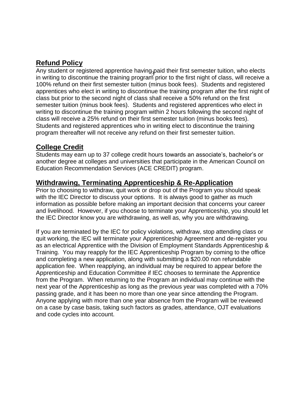#### **Refund Policy**

Any student or registered apprentice having paid their first semester tuition, who elects Any student or registered apprentice naving paid their mst semester tunion, who elects<br>in writing to discontinue the training program prior to the first night of class, will receive a 100% refund on their first semester tuition (minus book fees). Students and registered apprentices who elect in writing to discontinue the training program after the first night of class but prior to the second night of class shall receive a 50% refund on the first semester tuition (minus book fees). Students and registered apprentices who elect in writing to discontinue the training program within 2 hours following the second night of class will receive a 25% refund on their first semester tuition (minus books fees). Students and registered apprentices who in writing elect to discontinue the training program thereafter will not receive any refund on their first semester tuition.

#### **College Credit**

Students may earn up to 37 college credit hours towards an associate's, bachelor's or another degree at colleges and universities that participate in the American Council on Education Recommendation Services (ACE CREDIT) program.

#### **Withdrawing, Terminating Apprenticeship & Re-Application**

Prior to choosing to withdraw, quit work or drop out of the Program you should speak with the IEC Director to discuss your options. It is always good to gather as much information as possible before making an important decision that concerns your career and livelihood. However, if you choose to terminate your Apprenticeship, you should let the IEC Director know you are withdrawing, as well as, why you are withdrawing.

If you are terminated by the IEC for policy violations, withdraw, stop attending class or quit working, the IEC will terminate your Apprenticeship Agreement and de-register you as an electrical Apprentice with the Division of Employment Standards Apprenticeship & Training. You may reapply for the IEC Apprenticeship Program by coming to the office and completing a new application, along with submitting a \$20.00 non refundable application fee. When reapplying, an individual may be required to appear before the Apprenticeship and Education Committee if IEC chooses to terminate the Apprentice from the Program. When returning to the Program an individual may continue with the next year of the Apprenticeship as long as the previous year was completed with a 70% passing grade, and it has been no more than one year since attending the Program. Anyone applying with more than one year absence from the Program will be reviewed on a case by case basis, taking such factors as grades, attendance, OJT evaluations and code cycles into account.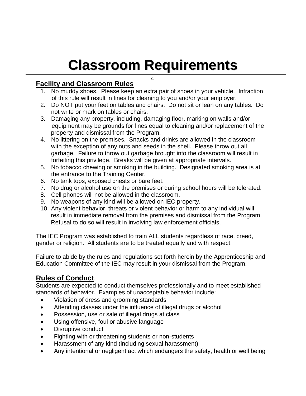# **Classroom Requirements**

#### **Facility and Classroom Rules**

1. No muddy shoes. Please keep an extra pair of shoes in your vehicle. Infraction of this rule will result in fines for cleaning to you and/or your employer.

4

- 2. Do NOT put your feet on tables and chairs. Do not sit or lean on any tables. Do not write or mark on tables or chairs.
- 3. Damaging any property, including, damaging floor, marking on walls and/or equipment may be grounds for fines equal to cleaning and/or replacement of the property and dismissal from the Program.
- 4. No littering on the premises. Snacks and drinks are allowed in the classroom with the exception of any nuts and seeds in the shell. Please throw out all garbage. Failure to throw out garbage brought into the classroom will result in forfeiting this privilege. Breaks will be given at appropriate intervals.
- 5. No tobacco chewing or smoking in the building. Designated smoking area is at the entrance to the Training Center.
- 6. No tank tops, exposed chests or bare feet.
- 7. No drug or alcohol use on the premises or during school hours will be tolerated.
- 8. Cell phones will not be allowed in the classroom.
- 9. No weapons of any kind will be allowed on IEC property.
- 10. Any violent behavior, threats or violent behavior or harm to any individual will result in immediate removal from the premises and dismissal from the Program. Refusal to do so will result in involving law enforcement officials.

The IEC Program was established to train ALL students regardless of race, creed, gender or religion. All students are to be treated equally and with respect.

Failure to abide by the rules and regulations set forth herein by the Apprenticeship and Education Committee of the IEC may result in your dismissal from the Program.

#### **Rules of Conduct**.

Students are expected to conduct themselves professionally and to meet established standards of behavior. Examples of unacceptable behavior include:

- Violation of dress and grooming standards
- Attending classes under the influence of illegal drugs or alcohol
- Possession, use or sale of illegal drugs at class
- Using offensive, foul or abusive language
- Disruptive conduct
- Fighting with or threatening students or non-students
- Harassment of any kind (including sexual harassment)
- Any intentional or negligent act which endangers the safety, health or well being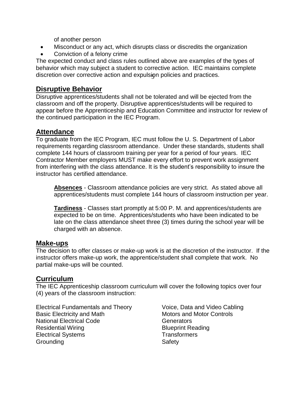of another person

- Misconduct or any act, which disrupts class or discredits the organization
- Conviction of a felony crime

The expected conduct and class rules outlined above are examples of the types of behavior which may subject a student to corrective action. IEC maintains complete discretion over corrective action and expulsion policies and practices.

#### **Disruptive Behavior**

Disruptive apprentices/students shall not be tolerated and will be ejected from the classroom and off the property. Disruptive apprentices/students will be required to appear before the Apprenticeship and Education Committee and instructor for review of the continued participation in the IEC Program.

#### **Attendance**

To graduate from the IEC Program, IEC must follow the U. S. Department of Labor requirements regarding classroom attendance. Under these standards, students shall complete 144 hours of classroom training per year for a period of four years. IEC Contractor Member employers MUST make every effort to prevent work assignment from interfering with the class attendance. It is the student's responsibility to insure the instructor has certified attendance.

**Absences** - Classroom attendance policies are very strict. As stated above all apprentices/students must complete 144 hours of classroom instruction per year.

**Tardiness** - Classes start promptly at 5:00 P. M. and apprentices/students are expected to be on time. Apprentices/students who have been indicated to be late on the class attendance sheet three (3) times during the school year will be charged with an absence.

#### **Make-ups**

The decision to offer classes or make-up work is at the discretion of the instructor. If the instructor offers make-up work, the apprentice/student shall complete that work. No partial make-ups will be counted.

#### **Curriculum**

The IEC Apprenticeship classroom curriculum will cover the following topics over four (4) years of the classroom instruction:

Electrical Fundamentals and Theory Voice, Data and Video Cabling Basic Electricity and Math Motors and Motor Controls National Electrical Code Generators Residential Wiring **Blueprint Reading Blueprint Reading** Electrical Systems Transformers Grounding Safety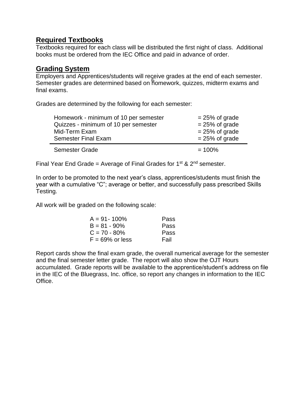#### **Required Textbooks**

Textbooks required for each class will be distributed the first night of class. Additional books must be ordered from the IEC Office and paid in advance of order.

#### **Grading System**

Employers and Apprentices/students will receive grades at the end of each semester. Semester grades are determined based on homework, quizzes, midterm exams and 6final exams.

Grades are determined by the following for each semester:

| Homework - minimum of 10 per semester<br>Quizzes - minimum of 10 per semester<br>Mid-Term Exam | $= 25\%$ of grade<br>$= 25\%$ of grade<br>$= 25\%$ of grade |
|------------------------------------------------------------------------------------------------|-------------------------------------------------------------|
| <b>Semester Final Exam</b>                                                                     | $= 25\%$ of grade                                           |
| <b>Semester Grade</b>                                                                          | $= 100\%$                                                   |

Final Year End Grade = Average of Final Grades for  $1^{st}$  &  $2^{nd}$  semester.

In order to be promoted to the next year's class, apprentices/students must finish the year with a cumulative "C"; average or better, and successfully pass prescribed Skills Testing.

All work will be graded on the following scale:

| $A = 91 - 100\%$   | Pass        |
|--------------------|-------------|
| $B = 81 - 90\%$    | <b>Pass</b> |
| $C = 70 - 80\%$    | <b>Pass</b> |
| $F = 69\%$ or less | Fail        |

Report cards show the final exam grade, the overall numerical average for the semester and the final semester letter grade. The report will also show the OJT Hours accumulated. Grade reports will be available to the apprentice/student's address on file in the IEC of the Bluegrass, Inc. office, so report any changes in information to the IEC Office.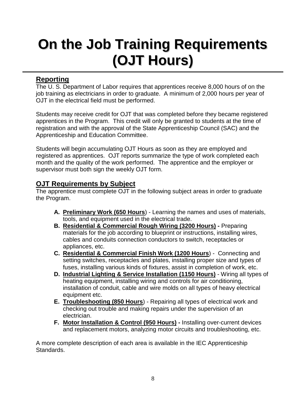# **On the Job Training Requirements (OJT Hours)**

#### **Reporting**

The U. S. Department of Labor requires that apprentices receive 8,000 hours of on the job training as electricians in order to graduate. A minimum of 2,000 hours per year of OJT in the electrical field must be performed.

Students may receive credit for OJT that was completed before they became registered apprentices in the Program. This credit will only be granted to students at the time of registration and with the approval of the State Apprenticeship Council (SAC) and the Apprenticeship and Education Committee.

Students will begin accumulating OJT Hours as soon as they are employed and registered as apprentices. OJT reports summarize the type of work completed each month and the quality of the work performed. The apprentice and the employer or supervisor must both sign the weekly OJT form.

#### **OJT Requirements by Subject**

The apprentice must complete OJT in the following subject areas in order to graduate the Program.

- **A. Preliminary Work (650 Hours**) Learning the names and uses of materials, tools, and equipment used in the electrical trade.
- **B. Residential & Commercial Rough Wiring (3200 Hours) -** Preparing materials for the job according to blueprint or instructions, installing wires, cables and conduits connection conductors to switch, receptacles or appliances, etc.
- **C. Residential & Commercial Finish Work (1200 Hours**) Connecting and setting switches, receptacles and plates, installing proper size and types of fuses, installing various kinds of fixtures, assist in completion of work, etc.
- **D. Industrial Lighting & Service Installation (1150 Hours)** Wiring all types of heating equipment, installing wiring and controls for air conditioning, installation of conduit, cable and wire molds on all types of heavy electrical equipment etc.
- **E. Troubleshooting (850 Hours**) Repairing all types of electrical work and checking out trouble and making repairs under the supervision of an electrician.
- **F. Motor Installation & Control (950 Hours) -** Installing over-current devices and replacement motors, analyzing motor circuits and troubleshooting, etc.

A more complete description of each area is available in the IEC Apprenticeship Standards.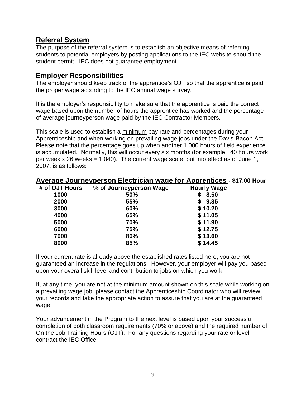#### **Referral System**

The purpose of the referral system is to establish an objective means of referring students to potential employers by posting applications to the IEC website should the student permit. IEC does not guarantee employment.

#### **Employer Responsibilities**

The employer should keep track of the apprentice's OJT so that the apprentice is paid the proper wage according to the IEC annual wage survey.

It is the employer's responsibility to make sure that the apprentice is paid the correct wage based upon the number of hours the apprentice has worked and the percentage of average journeyperson wage paid by the IEC Contractor Members.

This scale is used to establish a minimum pay rate and percentages during your Apprenticeship and when working on prevailing wage jobs under the Davis-Bacon Act. Please note that the percentage goes up when another 1,000 hours of field experience is accumulated. Normally, this will occur every six months (for example: 40 hours work per week x 26 weeks =  $1,040$ ). The current wage scale, put into effect as of June 1, 2007, is as follows:

| # of OJT Hours | % of Journeyperson Wage | <b>Hourly Wage</b> |
|----------------|-------------------------|--------------------|
| 1000           | 50%                     | \$8.50             |
| 2000           | 55%                     | \$9.35             |
| 3000           | 60%                     | \$10.20            |
| 4000           | 65%                     | \$11.05            |
| 5000           | 70%                     | \$11.90            |
| 6000           | 75%                     | \$12.75            |
| 7000           | 80%                     | \$13.60            |
| 8000           | 85%                     | \$14.45            |

#### **Average Journeyperson Electrician wage for Apprentices - \$17.00 Hour**

If your current rate is already above the established rates listed here, you are not guaranteed an increase in the regulations. However, your employer will pay you based upon your overall skill level and contribution to jobs on which you work.

If, at any time, you are not at the minimum amount shown on this scale while working on a prevailing wage job, please contact the Apprenticeship Coordinator who will review your records and take the appropriate action to assure that you are at the guaranteed wage.

Your advancement in the Program to the next level is based upon your successful completion of both classroom requirements (70% or above) and the required number of On the Job Training Hours (OJT). For any questions regarding your rate or level contract the IEC Office.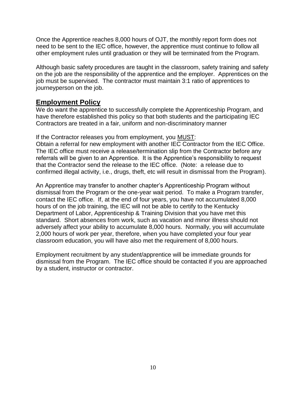Once the Apprentice reaches 8,000 hours of OJT, the monthly report form does not need to be sent to the IEC office, however, the apprentice must continue to follow all other employment rules until graduation or they will be terminated from the Program.

Although basic safety procedures are taught in the classroom, safety training and safety on the job are the responsibility of the apprentice and the employer. Apprentices on the job must be supervised. The contractor must maintain 3:1 ratio of apprentices to journeyperson on the job.

#### **Employment Policy**

We do want the apprentice to successfully complete the Apprenticeship Program, and have therefore established this policy so that both students and the participating IEC Contractors are treated in a fair, uniform and non-discriminatory manner

If the Contractor releases you from employment, you MUST:

Obtain a referral for new employment with another IEC Contractor from the IEC Office. The IEC office must receive a release/termination slip from the Contractor before any referrals will be given to an Apprentice. It is the Apprentice's responsibility to request that the Contractor send the release to the IEC office. (Note: a release due to confirmed illegal activity, i.e., drugs, theft, etc will result in dismissal from the Program).

An Apprentice may transfer to another chapter's Apprenticeship Program without dismissal from the Program or the one-year wait period. To make a Program transfer, contact the IEC office. If, at the end of four years, you have not accumulated 8,000 hours of on the job training, the IEC will not be able to certify to the Kentucky Department of Labor, Apprenticeship & Training Division that you have met this standard. Short absences from work, such as vacation and minor illness should not adversely affect your ability to accumulate 8,000 hours. Normally, you will accumulate 2,000 hours of work per year, therefore, when you have completed your four year classroom education, you will have also met the requirement of 8,000 hours.

Employment recruitment by any student/apprentice will be immediate grounds for dismissal from the Program. The IEC office should be contacted if you are approached by a student, instructor or contractor.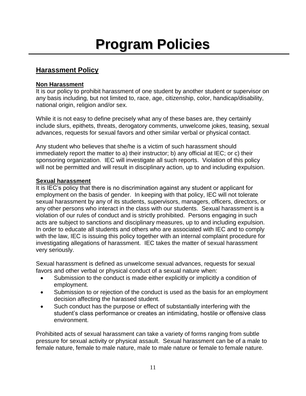# **Program Policies**

#### **Harassment Policy**

#### **Non Harassment**

It is our policy to prohibit harassment of one student by another student or supervisor on any basis including, but not limited to, race, age, citizenship, color, handicap/disability, national origin, religion and/or sex.

While it is not easy to define precisely what any of these bases are, they certainly include slurs, epithets, threats, derogatory comments, unwelcome jokes, teasing, sexual advances, requests for sexual favors and other similar verbal or physical contact.

Any student who believes that she/he is a victim of such harassment should immediately report the matter to a) their instructor; b) any official at IEC; or c) their sponsoring organization. IEC will investigate all such reports. Violation of this policy will not be permitted and will result in disciplinary action, up to and including expulsion.

#### **Sexual harassment**

It is IEC's policy that there is no discrimination against any student or applicant for employment on the basis of gender. In keeping with that policy, IEC will not tolerate sexual harassment by any of its students, supervisors, managers, officers, directors, or any other persons who interact in the class with our students. Sexual harassment is a violation of our rules of conduct and is strictly prohibited. Persons engaging in such acts are subject to sanctions and disciplinary measures, up to and including expulsion. In order to educate all students and others who are associated with IEC and to comply with the law, IEC is issuing this policy together with an internal complaint procedure for investigating allegations of harassment. IEC takes the matter of sexual harassment very seriously.

Sexual harassment is defined as unwelcome sexual advances, requests for sexual favors and other verbal or physical conduct of a sexual nature when:

- Submission to the conduct is made either explicitly or implicitly a condition of employment.
- Submission to or rejection of the conduct is used as the basis for an employment decision affecting the harassed student.
- Such conduct has the purpose or effect of substantially interfering with the student's class performance or creates an intimidating, hostile or offensive class environment.

Prohibited acts of sexual harassment can take a variety of forms ranging from subtle pressure for sexual activity or physical assault. Sexual harassment can be of a male to female nature, female to male nature, male to male nature or female to female nature.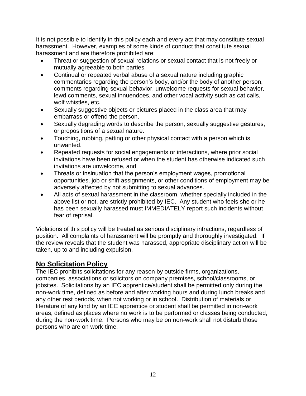It is not possible to identify in this policy each and every act that may constitute sexual harassment. However, examples of some kinds of conduct that constitute sexual harassment and are therefore prohibited are:

- Threat or suggestion of sexual relations or sexual contact that is not freely or mutually agreeable to both parties.
- Continual or repeated verbal abuse of a sexual nature including graphic commentaries regarding the person's body, and/or the body of another person, comments regarding sexual behavior, unwelcome requests for sexual behavior, lewd comments, sexual innuendoes, and other vocal activity such as cat calls, wolf whistles, etc.
- Sexually suggestive objects or pictures placed in the class area that may embarrass or offend the person.
- Sexually degrading words to describe the person, sexually suggestive gestures, or propositions of a sexual nature.
- Touching, rubbing, patting or other physical contact with a person which is unwanted.
- Repeated requests for social engagements or interactions, where prior social invitations have been refused or when the student has otherwise indicated such invitations are unwelcome, and
- Threats or insinuation that the person's employment wages, promotional opportunities, job or shift assignments, or other conditions of employment may be adversely affected by not submitting to sexual advances.
- All acts of sexual harassment in the classroom, whether specially included in the above list or not, are strictly prohibited by IEC. Any student who feels she or he has been sexually harassed must IMMEDIATELY report such incidents without fear of reprisal.

Violations of this policy will be treated as serious disciplinary infractions, regardless of position. All complaints of harassment will be promptly and thoroughly investigated. If the review reveals that the student was harassed, appropriate disciplinary action will be taken, up to and including expulsion.

#### **No Solicitation Policy**

The IEC prohibits solicitations for any reason by outside firms, organizations, companies, associations or solicitors on company premises, school/classrooms, or jobsites. Solicitations by an IEC apprentice/student shall be permitted only during the non-work time, defined as before and after working hours and during lunch breaks and any other rest periods, when not working or in school. Distribution of materials or literature of any kind by an IEC apprentice or student shall be permitted in non-work areas, defined as places where no work is to be performed or classes being conducted, during the non-work time. Persons who may be on non-work shall not disturb those persons who are on work-time.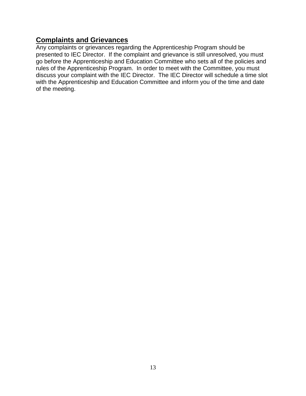#### **Complaints and Grievances**

Any complaints or grievances regarding the Apprenticeship Program should be presented to IEC Director. If the complaint and grievance is still unresolved, you must go before the Apprenticeship and Education Committee who sets all of the policies and rules of the Apprenticeship Program. In order to meet with the Committee, you must discuss your complaint with the IEC Director. The IEC Director will schedule a time slot with the Apprenticeship and Education Committee and inform you of the time and date of the meeting.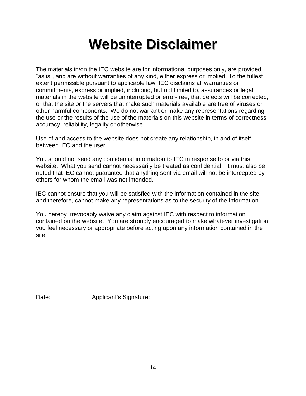### **Website Disclaimer**

The materials in/on the IEC website are for informational purposes only, are provided "as is", and are without warranties of any kind, either express or implied. To the fullest extent permissible pursuant to applicable law, IEC disclaims all warranties or commitments, express or implied, including, but not limited to, assurances or legal materials in the website will be uninterrupted or error-free, that defects will be corrected, or that the site or the servers that make such materials available are free of viruses or other harmful components. We do not warrant or make any representations regarding the use or the results of the use of the materials on this website in terms of correctness, accuracy, reliability, legality or otherwise.

Use of and access to the website does not create any relationship, in and of itself, between IEC and the user.

You should not send any confidential information to IEC in response to or via this website. What you send cannot necessarily be treated as confidential. It must also be noted that IEC cannot guarantee that anything sent via email will not be intercepted by others for whom the email was not intended.

IEC cannot ensure that you will be satisfied with the information contained in the site and therefore, cannot make any representations as to the security of the information.

You hereby irrevocably waive any claim against IEC with respect to information contained on the website. You are strongly encouraged to make whatever investigation you feel necessary or appropriate before acting upon any information contained in the site.

Date: The Community Applicant's Signature:  $\Box$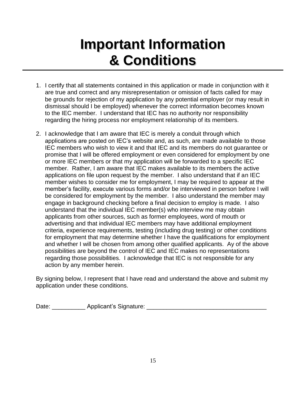### **Important Information & Conditions**

- 1. I certify that all statements contained in this application or made in conjunction with it are true and correct and any misrepresentation or omission of facts called for may be grounds for rejection of my application by any potential employer (or may result in dismissal should I be employed) whenever the correct information becomes known to the IEC member. I understand that IEC has no authority nor responsibility regarding the hiring process nor employment relationship of its members.
- 2. I acknowledge that I am aware that IEC is merely a conduit through which applications are posted on IEC's website and, as such, are made available to those IEC members who wish to view it and that IEC and its members do not guarantee or promise that I will be offered employment or even considered for employment by one or more IEC members or that my application will be forwarded to a specific IEC member. Rather, I am aware that IEC makes available to its members the active applications on file upon request by the member. I also understand that if an IEC member wishes to consider me for employment, I may be required to appear at the member's facility, execute various forms and/or be interviewed in person before I will be considered for employment by the member. I also understand the member may engage in background checking before a final decision to employ is made. I also understand that the individual IEC member(s) who interview me may obtain applicants from other sources, such as former employees, word of mouth or advertising and that individual IEC members may have additional employment criteria, experience requirements, testing (including drug testing) or other conditions for employment that may determine whether I have the qualifications for employment and whether I will be chosen from among other qualified applicants. Ay of the above possibilities are beyond the control of IEC and IEC makes no representations regarding those possibilities. I acknowledge that IEC is not responsible for any action by any member herein.

By signing below, I represent that I have read and understand the above and submit my application under these conditions.

Date: \_\_\_\_\_\_\_\_\_\_ Applicant's Signature: \_\_\_\_\_\_\_\_\_\_\_\_\_\_\_\_\_\_\_\_\_\_\_\_\_\_\_\_\_\_\_\_\_\_\_\_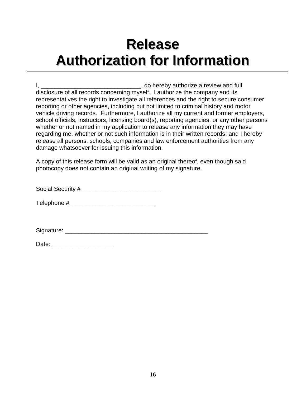### **Release Authorization for Information**

I, \_\_\_\_\_\_\_\_\_\_\_\_\_\_\_\_\_\_\_\_\_\_\_\_\_\_\_\_\_\_\_\_\_\_\_, do hereby authorize a review and full disclosure of all records concerning myself. I authorize the company and its representatives the right to investigate all references and the right to secure consumer reporting or other agencies, including but not limited to criminal history and motor vehicle driving records. Furthermore, I authorize all my current and former employers, school officials, instructors, licensing board(s), reporting agencies, or any other persons whether or not named in my application to release any information they may have regarding me, whether or not such information is in their written records; and I hereby release all persons, schools, companies and law enforcement authorities from any damage whatsoever for issuing this information.

A copy of this release form will be valid as an original thereof, even though said photocopy does not contain an original writing of my signature.

Social Security # \_\_\_\_\_\_\_\_\_\_\_\_\_\_\_\_\_\_\_\_\_\_\_\_

Telephone #

Signature:  $\Box$ 

| Date: |  |  |  |
|-------|--|--|--|
|       |  |  |  |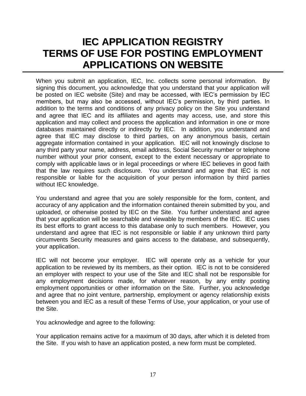### **IEC APPLICATION REGISTRY TERMS OF USE FOR POSTING EMPLOYMENT APPLICATIONS ON WEBSITE**

When you submit an application, IEC, Inc. collects some personal information. By signing this document, you acknowledge that you understand that your application will be posted on IEC website (Site) and may be accessed, with IEC's permission by IEC members, but may also be accessed, without IEC's permission, by third parties. In addition to the terms and conditions of any privacy policy on the Site you understand and agree that IEC and its affiliates and agents may access, use, and store this application and may collect and process the application and information in one or more databases maintained directly or indirectly by IEC. In addition, you understand and agree that IEC may disclose to third parties, on any anonymous basis, certain aggregate information contained in your application. IEC will not knowingly disclose to any third party your name, address, email address, Social Security number or telephone number without your prior consent, except to the extent necessary or appropriate to comply with applicable laws or in legal proceedings or where IEC believes in good faith that the law requires such disclosure. You understand and agree that IEC is not responsible or liable for the acquisition of your person information by third parties without IEC knowledge.

You understand and agree that you are solely responsible for the form, content, and accuracy of any application and the information contained therein submitted by you, and uploaded, or otherwise posted by IEC on the Site. You further understand and agree that your application will be searchable and viewable by members of the IEC. IEC uses its best efforts to grant access to this database only to such members. However, you understand and agree that IEC is not responsible or liable if any unknown third party circumvents Security measures and gains access to the database, and subsequently, your application.

IEC will not become your employer. IEC will operate only as a vehicle for your application to be reviewed by its members, as their option. IEC is not to be considered an employer with respect to your use of the Site and IEC shall not be responsible for any employment decisions made, for whatever reason, by any entity posting employment opportunities or other information on the Site. Further, you acknowledge and agree that no joint venture, partnership, employment or agency relationship exists between you and IEC as a result of these Terms of Use, your application, or your use of the Site.

You acknowledge and agree to the following:

Your application remains active for a maximum of 30 days, after which it is deleted from the Site. If you wish to have an application posted, a new form must be completed.